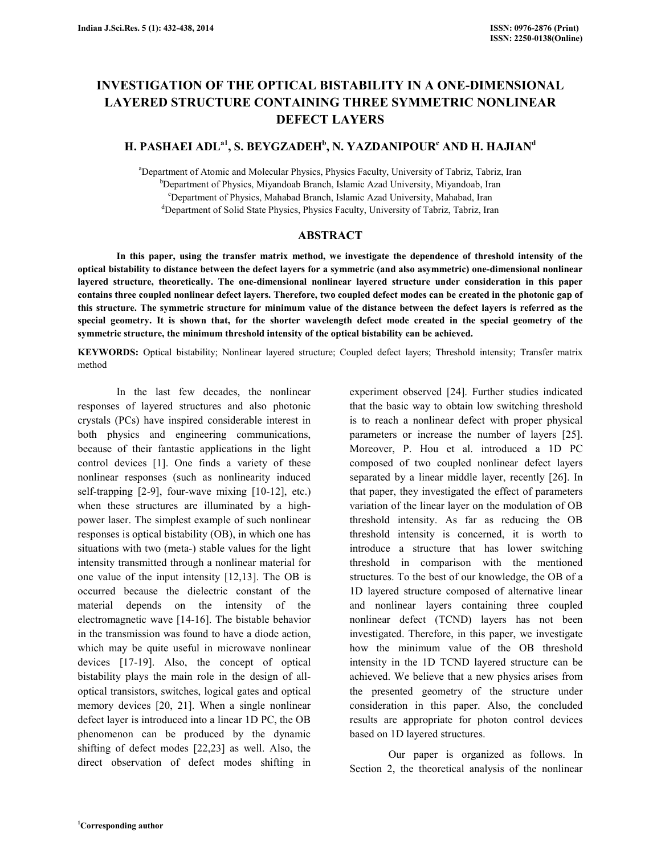# INVESTIGATION OF THE OPTICAL BISTABILITY IN A ONE-DIMENSIONAL LAYERED STRUCTURE CONTAINING THREE SYMMETRIC NONLINEAR DEFECT LAYERS

# H. PASHAEI ADL $^{\rm al},$  S. BEYGZADEH $^{\rm b}$ , N. YAZDANIPOUR $^{\rm c}$  AND H. HAJIAN $^{\rm d}$

<sup>a</sup>Department of Atomic and Molecular Physics, Physics Faculty, University of Tabriz, Tabriz, Iran <sup>b</sup>Department of Physics, Miyandoab Branch, Islamic Azad University, Miyandoab, Iran <sup>c</sup>Department of Physics, Mahabad Branch, Islamic Azad University, Mahabad, Iran <sup>d</sup>Department of Solid State Physics, Physics Faculty, University of Tabriz, Tabriz, Iran

# ABSTRACT

 In this paper, using the transfer matrix method, we investigate the dependence of threshold intensity of the optical bistability to distance between the defect layers for a symmetric (and also asymmetric) one-dimensional nonlinear layered structure, theoretically. The one-dimensional nonlinear layered structure under consideration in this paper contains three coupled nonlinear defect layers. Therefore, two coupled defect modes can be created in the photonic gap of this structure. The symmetric structure for minimum value of the distance between the defect layers is referred as the special geometry. It is shown that, for the shorter wavelength defect mode created in the special geometry of the symmetric structure, the minimum threshold intensity of the optical bistability can be achieved.

KEYWORDS: Optical bistability; Nonlinear layered structure; Coupled defect layers; Threshold intensity; Transfer matrix method

 In the last few decades, the nonlinear responses of layered structures and also photonic crystals (PCs) have inspired considerable interest in both physics and engineering communications, because of their fantastic applications in the light control devices [1]. One finds a variety of these nonlinear responses (such as nonlinearity induced self-trapping [2-9], four-wave mixing [10-12], etc.) when these structures are illuminated by a highpower laser. The simplest example of such nonlinear responses is optical bistability (OB), in which one has situations with two (meta-) stable values for the light intensity transmitted through a nonlinear material for one value of the input intensity [12,13]. The OB is occurred because the dielectric constant of the material depends on the intensity of the electromagnetic wave [14-16]. The bistable behavior in the transmission was found to have a diode action, which may be quite useful in microwave nonlinear devices [17-19]. Also, the concept of optical bistability plays the main role in the design of alloptical transistors, switches, logical gates and optical memory devices [20, 21]. When a single nonlinear defect layer is introduced into a linear 1D PC, the OB phenomenon can be produced by the dynamic shifting of defect modes [22,23] as well. Also, the direct observation of defect modes shifting in

experiment observed [24]. Further studies indicated that the basic way to obtain low switching threshold is to reach a nonlinear defect with proper physical parameters or increase the number of layers [25]. Moreover, P. Hou et al. introduced a 1D PC composed of two coupled nonlinear defect layers separated by a linear middle layer, recently [26]. In that paper, they investigated the effect of parameters variation of the linear layer on the modulation of OB threshold intensity. As far as reducing the OB threshold intensity is concerned, it is worth to introduce a structure that has lower switching threshold in comparison with the mentioned structures. To the best of our knowledge, the OB of a 1D layered structure composed of alternative linear and nonlinear layers containing three coupled nonlinear defect (TCND) layers has not been investigated. Therefore, in this paper, we investigate how the minimum value of the OB threshold intensity in the 1D TCND layered structure can be achieved. We believe that a new physics arises from the presented geometry of the structure under consideration in this paper. Also, the concluded results are appropriate for photon control devices based on 1D layered structures.

 Our paper is organized as follows. In Section 2, the theoretical analysis of the nonlinear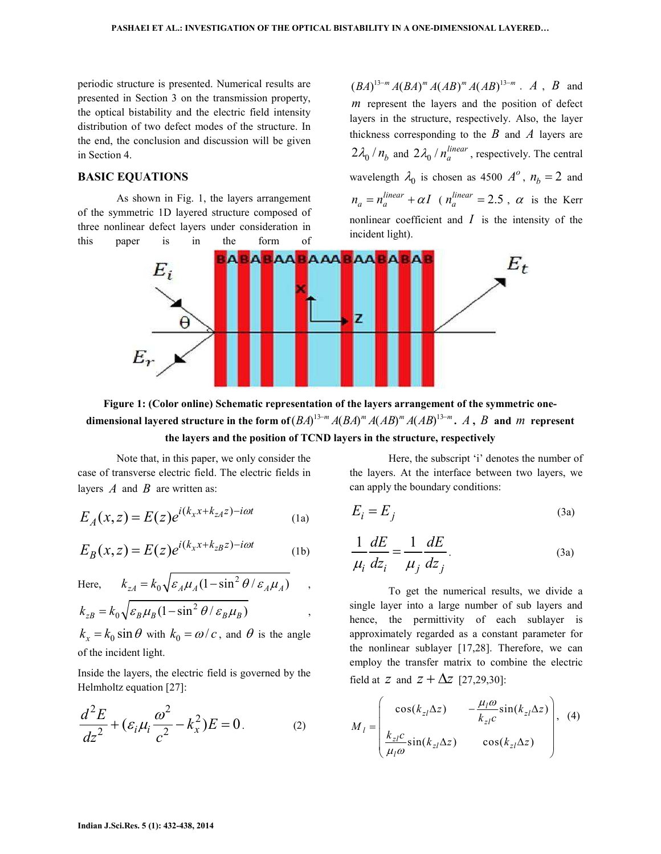periodic structure is presented. Numerical results are presented in Section 3 on the transmission property, the optical bistability and the electric field intensity distribution of two defect modes of the structure. In the end, the conclusion and discussion will be given in Section 4.

# BASIC EQUATIONS

 As shown in Fig. 1, the layers arrangement of the symmetric 1D layered structure composed of three nonlinear defect layers under consideration in this paper is in the form of

 $(BA)^{13-m} A (BA)^m A (AB)^m A (AB)^{13-m}$ . A, B and  *represent the layers and the position of defect* layers in the structure, respectively. Also, the layer thickness corresponding to the  $B$  and  $A$  layers are  $2\lambda_0 / n_b$  and  $2\lambda_0 / n_a^{linear}$ , respectively. The central wavelength  $\lambda_0$  is chosen as 4500  $A^o$ ,  $n_b = 2$  and  $n_a = n_a^{linear} + \alpha I$  ( $n_a^{linear} = 2.5$ ,  $\alpha$  is the Kerr nonlinear coefficient and  $I$  is the intensity of the incident light).



Figure 1: (Color online) Schematic representation of the layers arrangement of the symmetric onedimensional layered structure in the form of  $(BA)^{13-m}$   $A(BA)^m$   $A(AB)^m$   $A(AB)^{13-m}$ .  $A$  ,  $B$  and  $m$  represent the layers and the position of TCND layers in the structure, respectively

 Note that, in this paper, we only consider the case of transverse electric field. The electric fields in layers  $\vec{A}$  and  $\vec{B}$  are written as:

$$
E_A(x,z) = E(z)e^{i(k_x x + k_{zA}z) - i\omega t}
$$
 (1a)

$$
E_B(x,z) = E(z)e^{i(k_x x + k_{zB}z) - i\omega t}
$$
 (1b)

Here, 
$$
k_{zA} = k_0 \sqrt{\varepsilon_A \mu_A (1 - \sin^2 \theta / \varepsilon_A \mu_A)}
$$
,  
\n $k_{zB} = k_0 \sqrt{\varepsilon_B \mu_B (1 - \sin^2 \theta / \varepsilon_B \mu_B)}$ ,  
\n $k_x = k_0 \sin \theta$  with  $k_0 = \omega / c$ , and  $\theta$  is the angle

of the incident light.

Inside the layers, the electric field is governed by the Helmholtz equation [27]:

$$
\frac{d^2E}{dz^2} + (\varepsilon_i \mu_i \frac{\omega^2}{c^2} - k_x^2)E = 0.
$$
 (2)

 Here, the subscript 'i' denotes the number of the layers. At the interface between two layers, we can apply the boundary conditions:

$$
E_i = E_j \tag{3a}
$$

$$
\frac{1}{\mu_i} \frac{dE}{dz_i} = \frac{1}{\mu_j} \frac{dE}{dz_j}.
$$
 (3a)

 To get the numerical results, we divide a single layer into a large number of sub layers and hence, the permittivity of each sublayer is approximately regarded as a constant parameter for the nonlinear sublayer [17,28]. Therefore, we can employ the transfer matrix to combine the electric field at  $z$  and  $z + \Delta z$  [27,29,30]:

$$
M_{l} = \begin{pmatrix} \cos(k_{zl}\Delta z) & -\frac{\mu_{l}\omega}{k_{zl}}\sin(k_{zl}\Delta z) \\ \frac{k_{zl}c}{\mu_{l}\omega}\sin(k_{zl}\Delta z) & \cos(k_{zl}\Delta z) \end{pmatrix}, (4)
$$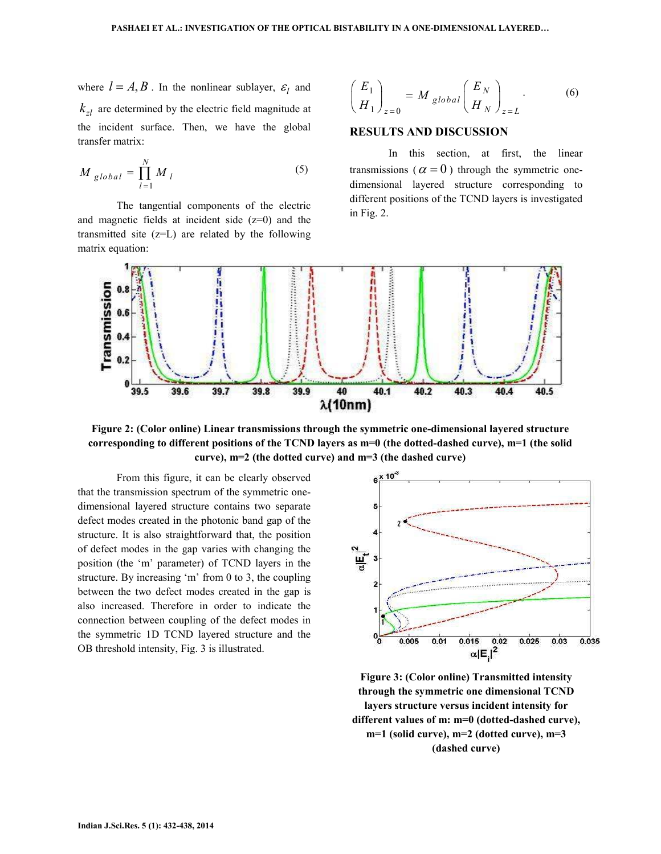where  $l = A, B$ . In the nonlinear sublayer,  $\varepsilon_l$  and  $k_{rl}$  are determined by the electric field magnitude at the incident surface. Then, we have the global transfer matrix:

$$
M_{global} = \prod_{l=1}^{N} M_l
$$
 (5)

 The tangential components of the electric and magnetic fields at incident side  $(z=0)$  and the transmitted site (z=L) are related by the following matrix equation:

$$
\left(\frac{E_1}{H_1}\right)_{z=0} = M_{global} \left(\frac{E_N}{H_N}\right)_{z=L}.
$$
 (6)

# RESULTS AND DISCUSSION

 In this section, at first, the linear transmissions ( $\alpha = 0$ ) through the symmetric onedimensional layered structure corresponding to different positions of the TCND layers is investigated in Fig. 2.



Figure 2: (Color online) Linear transmissions through the symmetric one-dimensional layered structure corresponding to different positions of the TCND layers as m=0 (the dotted-dashed curve), m=1 (the solid curve), m=2 (the dotted curve) and m=3 (the dashed curve)

 From this figure, it can be clearly observed that the transmission spectrum of the symmetric onedimensional layered structure contains two separate defect modes created in the photonic band gap of the structure. It is also straightforward that, the position of defect modes in the gap varies with changing the position (the 'm' parameter) of TCND layers in the structure. By increasing 'm' from 0 to 3, the coupling between the two defect modes created in the gap is also increased. Therefore in order to indicate the connection between coupling of the defect modes in the symmetric 1D TCND layered structure and the OB threshold intensity, Fig. 3 is illustrated.



Figure 3: (Color online) Transmitted intensity through the symmetric one dimensional TCND layers structure versus incident intensity for different values of m: m=0 (dotted-dashed curve), m=1 (solid curve), m=2 (dotted curve), m=3 (dashed curve)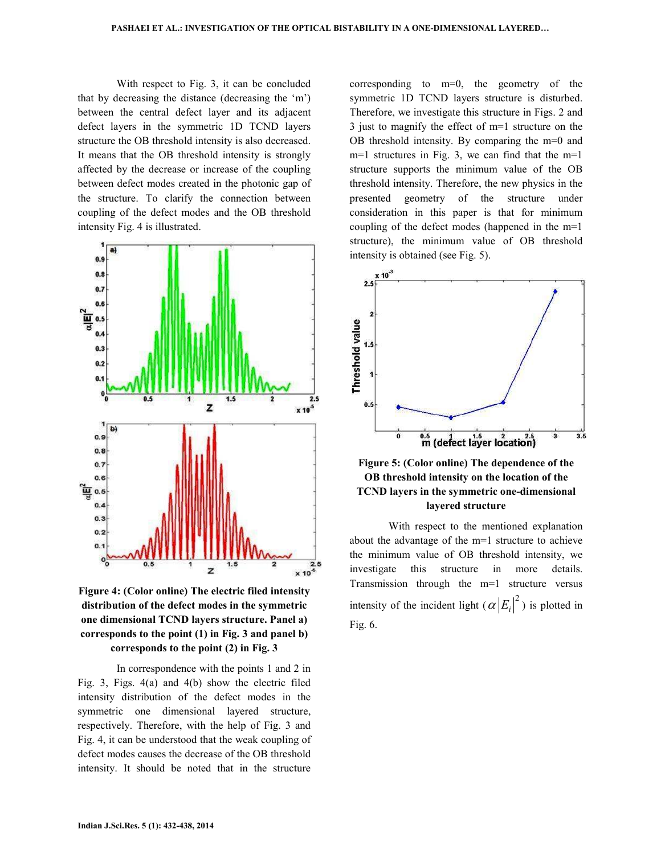With respect to Fig. 3, it can be concluded that by decreasing the distance (decreasing the 'm') between the central defect layer and its adjacent defect layers in the symmetric 1D TCND layers structure the OB threshold intensity is also decreased. It means that the OB threshold intensity is strongly affected by the decrease or increase of the coupling between defect modes created in the photonic gap of the structure. To clarify the connection between coupling of the defect modes and the OB threshold intensity Fig. 4 is illustrated.



Figure 4: (Color online) The electric filed intensity distribution of the defect modes in the symmetric one dimensional TCND layers structure. Panel a) corresponds to the point (1) in Fig. 3 and panel b) corresponds to the point (2) in Fig. 3

 In correspondence with the points 1 and 2 in Fig. 3, Figs. 4(a) and 4(b) show the electric filed intensity distribution of the defect modes in the symmetric one dimensional layered structure, respectively. Therefore, with the help of Fig. 3 and Fig. 4, it can be understood that the weak coupling of defect modes causes the decrease of the OB threshold intensity. It should be noted that in the structure

corresponding to m=0, the geometry of the symmetric 1D TCND layers structure is disturbed. Therefore, we investigate this structure in Figs. 2 and 3 just to magnify the effect of m=1 structure on the OB threshold intensity. By comparing the m=0 and m=1 structures in Fig. 3, we can find that the m=1 structure supports the minimum value of the OB threshold intensity. Therefore, the new physics in the presented geometry of the structure under consideration in this paper is that for minimum coupling of the defect modes (happened in the m=1 structure), the minimum value of OB threshold intensity is obtained (see Fig. 5).



Figure 5: (Color online) The dependence of the OB threshold intensity on the location of the TCND layers in the symmetric one-dimensional layered structure

 With respect to the mentioned explanation about the advantage of the m=1 structure to achieve the minimum value of OB threshold intensity, we investigate this structure in more details. Transmission through the m=1 structure versus intensity of the incident light  $(\alpha |E_i|^2)$  is plotted in Fig. 6.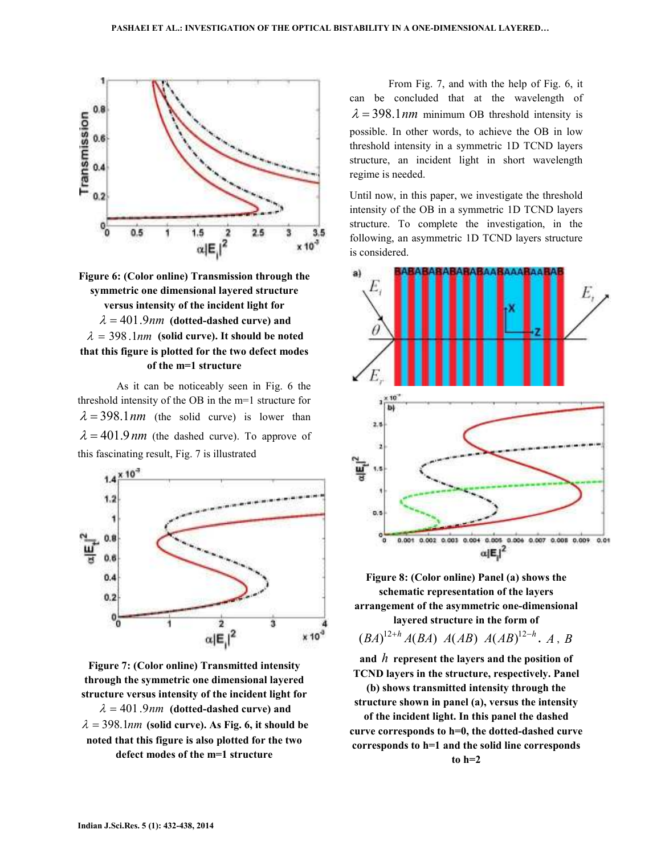



 As it can be noticeably seen in Fig. 6 the threshold intensity of the OB in the m=1 structure for  $\lambda = 398.1$  nm (the solid curve) is lower than  $\lambda = 401.9$  nm (the dashed curve). To approve of this fascinating result, Fig. 7 is illustrated



Figure 7: (Color online) Transmitted intensity through the symmetric one dimensional layered structure versus intensity of the incident light for  $\lambda = 401.9$  nm (dotted-dashed curve) and  $\lambda = 398.1$ *nm* (solid curve). As Fig. 6, it should be noted that this figure is also plotted for the two defect modes of the m=1 structure

 From Fig. 7, and with the help of Fig. 6, it can be concluded that at the wavelength of  $\lambda = 398.1$  nm minimum OB threshold intensity is possible. In other words, to achieve the OB in low threshold intensity in a symmetric 1D TCND layers structure, an incident light in short wavelength regime is needed.

Until now, in this paper, we investigate the threshold intensity of the OB in a symmetric 1D TCND layers structure. To complete the investigation, in the following, an asymmetric 1D TCND layers structure is considered.



Figure 8: (Color online) Panel (a) shows the schematic representation of the layers arrangement of the asymmetric one-dimensional layered structure in the form of

 $(BA)^{12+h} A(BA) A(AB) A(AB)^{12-h}$ , A, B

and  $h$  represent the layers and the position of TCND layers in the structure, respectively. Panel

(b) shows transmitted intensity through the structure shown in panel (a), versus the intensity of the incident light. In this panel the dashed curve corresponds to h=0, the dotted-dashed curve corresponds to h=1 and the solid line corresponds to h=2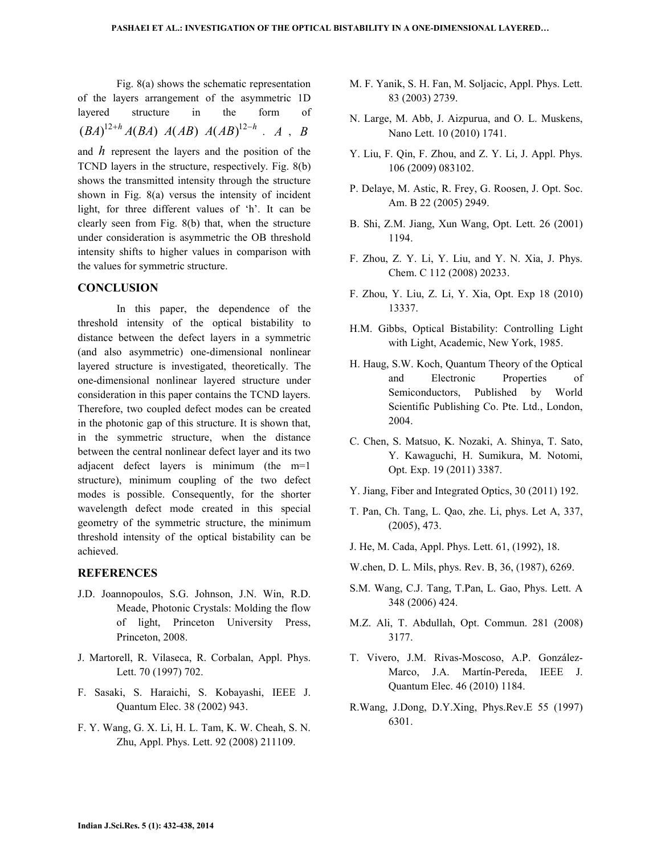Fig. 8(a) shows the schematic representation of the layers arrangement of the asymmetric 1D layered structure in the form of  $(A)^{12+h} A(BA) A(AB) A(AB)^{12-h} A, B$ and  $h$  represent the layers and the position of the TCND layers in the structure, respectively. Fig. 8(b) shows the transmitted intensity through the structure shown in Fig. 8(a) versus the intensity of incident light, for three different values of 'h'. It can be clearly seen from Fig. 8(b) that, when the structure under consideration is asymmetric the OB threshold intensity shifts to higher values in comparison with the values for symmetric structure.

# **CONCLUSION**

 In this paper, the dependence of the threshold intensity of the optical bistability to distance between the defect layers in a symmetric (and also asymmetric) one-dimensional nonlinear layered structure is investigated, theoretically. The one-dimensional nonlinear layered structure under consideration in this paper contains the TCND layers. Therefore, two coupled defect modes can be created in the photonic gap of this structure. It is shown that, in the symmetric structure, when the distance between the central nonlinear defect layer and its two adjacent defect layers is minimum (the m=1 structure), minimum coupling of the two defect modes is possible. Consequently, for the shorter wavelength defect mode created in this special geometry of the symmetric structure, the minimum threshold intensity of the optical bistability can be achieved.

# REFERENCES

- J.D. Joannopoulos, S.G. Johnson, J.N. Win, R.D. Meade, Photonic Crystals: Molding the flow of light, Princeton University Press, Princeton, 2008.
- J. Martorell, R. Vilaseca, R. Corbalan, Appl. Phys. Lett. 70 (1997) 702.
- F. Sasaki, S. Haraichi, S. Kobayashi, IEEE J. Quantum Elec. 38 (2002) 943.
- F. Y. Wang, G. X. Li, H. L. Tam, K. W. Cheah, S. N. Zhu, Appl. Phys. Lett. 92 (2008) 211109.
- M. F. Yanik, S. H. Fan, M. Soljacic, Appl. Phys. Lett. 83 (2003) 2739.
- N. Large, M. Abb, J. Aizpurua, and O. L. Muskens, Nano Lett. 10 (2010) 1741.
- Y. Liu, F. Qin, F. Zhou, and Z. Y. Li, J. Appl. Phys. 106 (2009) 083102.
- P. Delaye, M. Astic, R. Frey, G. Roosen, J. Opt. Soc. Am. B 22 (2005) 2949.
- B. Shi, Z.M. Jiang, Xun Wang, Opt. Lett. 26 (2001) 1194.
- F. Zhou, Z. Y. Li, Y. Liu, and Y. N. Xia, J. Phys. Chem. C 112 (2008) 20233.
- F. Zhou, Y. Liu, Z. Li, Y. Xia, Opt. Exp 18 (2010) 13337.
- H.M. Gibbs, Optical Bistability: Controlling Light with Light, Academic, New York, 1985.
- H. Haug, S.W. Koch, Quantum Theory of the Optical and Electronic Properties of Semiconductors, Published by World Scientific Publishing Co. Pte. Ltd., London, 2004.
- C. Chen, S. Matsuo, K. Nozaki, A. Shinya, T. Sato, Y. Kawaguchi, H. Sumikura, M. Notomi, Opt. Exp. 19 (2011) 3387.
- Y. Jiang, Fiber and Integrated Optics, 30 (2011) 192.
- T. Pan, Ch. Tang, L. Qao, zhe. Li, phys. Let A, 337, (2005), 473.
- J. He, M. Cada, Appl. Phys. Lett. 61, (1992), 18.
- W.chen, D. L. Mils, phys. Rev. B, 36, (1987), 6269.
- S.M. Wang, C.J. Tang, T.Pan, L. Gao, Phys. Lett. A 348 (2006) 424.
- M.Z. Ali, T. Abdullah, Opt. Commun. 281 (2008) 3177.
- T. Vivero, J.M. Rivas-Moscoso, A.P. González-Marco, J.A. Martín-Pereda, IEEE J. Quantum Elec. 46 (2010) 1184.
- R.Wang, J.Dong, D.Y.Xing, Phys.Rev.E 55 (1997) 6301.